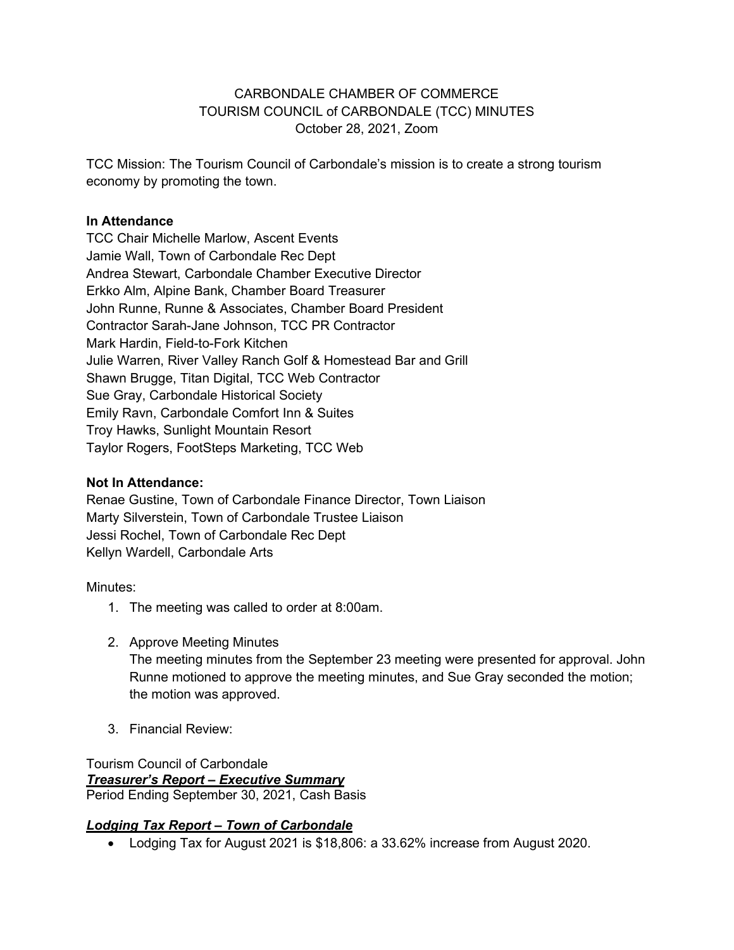### CARBONDALE CHAMBER OF COMMERCE TOURISM COUNCIL of CARBONDALE (TCC) MINUTES October 28, 2021, Zoom

TCC Mission: The Tourism Council of Carbondale's mission is to create a strong tourism economy by promoting the town.

#### **In Attendance**

TCC Chair Michelle Marlow, Ascent Events Jamie Wall, Town of Carbondale Rec Dept Andrea Stewart, Carbondale Chamber Executive Director Erkko Alm, Alpine Bank, Chamber Board Treasurer John Runne, Runne & Associates, Chamber Board President Contractor Sarah-Jane Johnson, TCC PR Contractor Mark Hardin, Field-to-Fork Kitchen Julie Warren, River Valley Ranch Golf & Homestead Bar and Grill Shawn Brugge, Titan Digital, TCC Web Contractor Sue Gray, Carbondale Historical Society Emily Ravn, Carbondale Comfort Inn & Suites Troy Hawks, Sunlight Mountain Resort Taylor Rogers, FootSteps Marketing, TCC Web

#### **Not In Attendance:**

Renae Gustine, Town of Carbondale Finance Director, Town Liaison Marty Silverstein, Town of Carbondale Trustee Liaison Jessi Rochel, Town of Carbondale Rec Dept Kellyn Wardell, Carbondale Arts

Minutes:

- 1. The meeting was called to order at 8:00am.
- 2. Approve Meeting Minutes

The meeting minutes from the September 23 meeting were presented for approval. John Runne motioned to approve the meeting minutes, and Sue Gray seconded the motion; the motion was approved.

3. Financial Review:

Tourism Council of Carbondale *Treasurer's Report – Executive Summary* Period Ending September 30, 2021, Cash Basis

## *Lodging Tax Report – Town of Carbondale*

• Lodging Tax for August 2021 is \$18,806: a 33.62% increase from August 2020.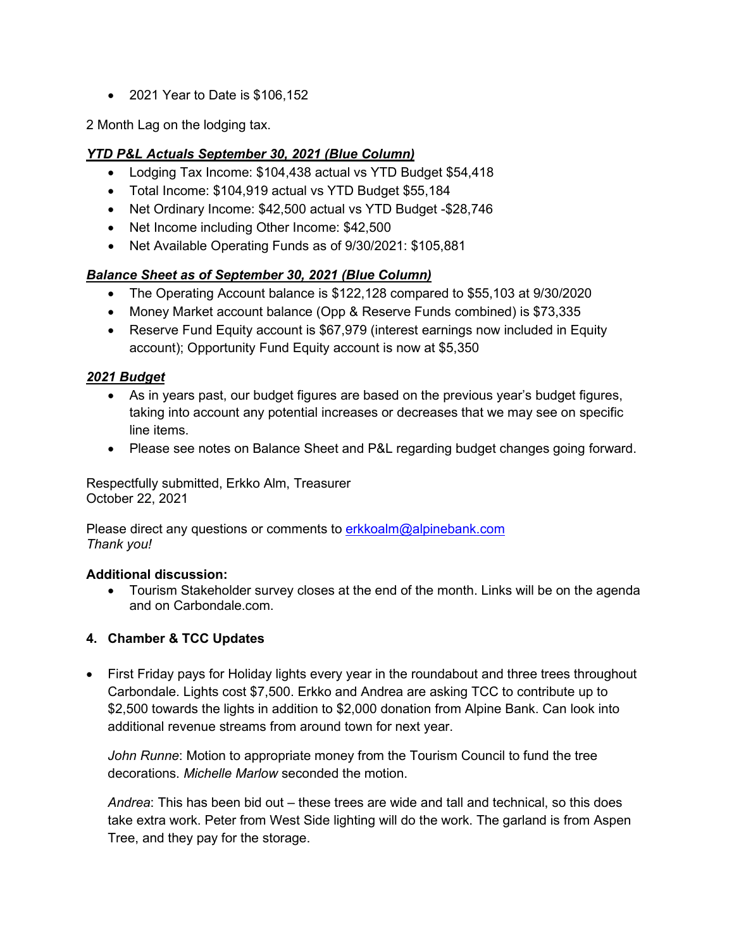• 2021 Year to Date is \$106,152

2 Month Lag on the lodging tax.

# *YTD P&L Actuals September 30, 2021 (Blue Column)*

- Lodging Tax Income: \$104,438 actual vs YTD Budget \$54,418
- Total Income: \$104,919 actual vs YTD Budget \$55,184
- Net Ordinary Income: \$42,500 actual vs YTD Budget -\$28,746
- Net Income including Other Income: \$42,500
- Net Available Operating Funds as of 9/30/2021: \$105,881

# *Balance Sheet as of September 30, 2021 (Blue Column)*

- The Operating Account balance is \$122,128 compared to \$55,103 at 9/30/2020
- Money Market account balance (Opp & Reserve Funds combined) is \$73,335
- Reserve Fund Equity account is \$67,979 (interest earnings now included in Equity account); Opportunity Fund Equity account is now at \$5,350

# *2021 Budget*

- As in years past, our budget figures are based on the previous year's budget figures, taking into account any potential increases or decreases that we may see on specific line items.
- Please see notes on Balance Sheet and P&L regarding budget changes going forward.

Respectfully submitted, Erkko Alm, Treasurer October 22, 2021

Please direct any questions or comments to erkkoalm@alpinebank.com *Thank you!*

#### **Additional discussion:**

• Tourism Stakeholder survey closes at the end of the month. Links will be on the agenda and on Carbondale.com.

## **4. Chamber & TCC Updates**

• First Friday pays for Holiday lights every year in the roundabout and three trees throughout Carbondale. Lights cost \$7,500. Erkko and Andrea are asking TCC to contribute up to \$2,500 towards the lights in addition to \$2,000 donation from Alpine Bank. Can look into additional revenue streams from around town for next year.

*John Runne*: Motion to appropriate money from the Tourism Council to fund the tree decorations. *Michelle Marlow* seconded the motion.

*Andrea*: This has been bid out – these trees are wide and tall and technical, so this does take extra work. Peter from West Side lighting will do the work. The garland is from Aspen Tree, and they pay for the storage.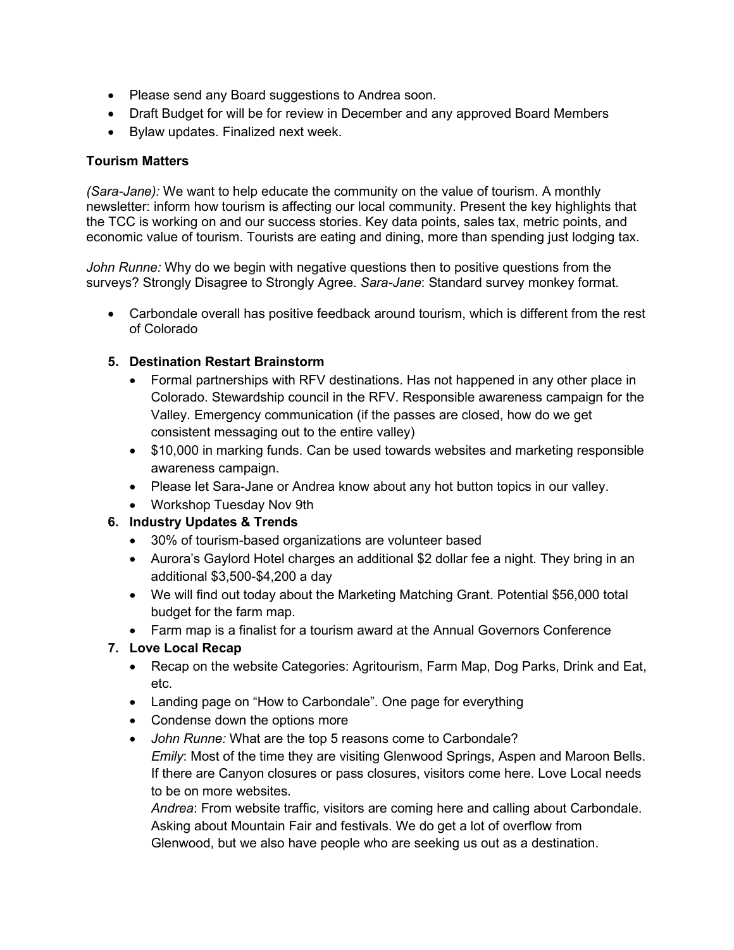- Please send any Board suggestions to Andrea soon.
- Draft Budget for will be for review in December and any approved Board Members
- Bylaw updates. Finalized next week.

#### **Tourism Matters**

*(Sara-Jane):* We want to help educate the community on the value of tourism. A monthly newsletter: inform how tourism is affecting our local community. Present the key highlights that the TCC is working on and our success stories. Key data points, sales tax, metric points, and economic value of tourism. Tourists are eating and dining, more than spending just lodging tax.

*John Runne:* Why do we begin with negative questions then to positive questions from the surveys? Strongly Disagree to Strongly Agree. *Sara-Jane*: Standard survey monkey format.

• Carbondale overall has positive feedback around tourism, which is different from the rest of Colorado

### **5. Destination Restart Brainstorm**

- Formal partnerships with RFV destinations. Has not happened in any other place in Colorado. Stewardship council in the RFV. Responsible awareness campaign for the Valley. Emergency communication (if the passes are closed, how do we get consistent messaging out to the entire valley)
- \$10,000 in marking funds. Can be used towards websites and marketing responsible awareness campaign.
- Please let Sara-Jane or Andrea know about any hot button topics in our valley.
- Workshop Tuesday Nov 9th

## **6. Industry Updates & Trends**

- 30% of tourism-based organizations are volunteer based
- Aurora's Gaylord Hotel charges an additional \$2 dollar fee a night. They bring in an additional \$3,500-\$4,200 a day
- We will find out today about the Marketing Matching Grant. Potential \$56,000 total budget for the farm map.
- Farm map is a finalist for a tourism award at the Annual Governors Conference

## **7. Love Local Recap**

- Recap on the website Categories: Agritourism, Farm Map, Dog Parks, Drink and Eat, etc.
- Landing page on "How to Carbondale". One page for everything
- Condense down the options more
- *John Runne:* What are the top 5 reasons come to Carbondale? *Emily*: Most of the time they are visiting Glenwood Springs, Aspen and Maroon Bells. If there are Canyon closures or pass closures, visitors come here. Love Local needs to be on more websites.

*Andrea*: From website traffic, visitors are coming here and calling about Carbondale. Asking about Mountain Fair and festivals. We do get a lot of overflow from Glenwood, but we also have people who are seeking us out as a destination.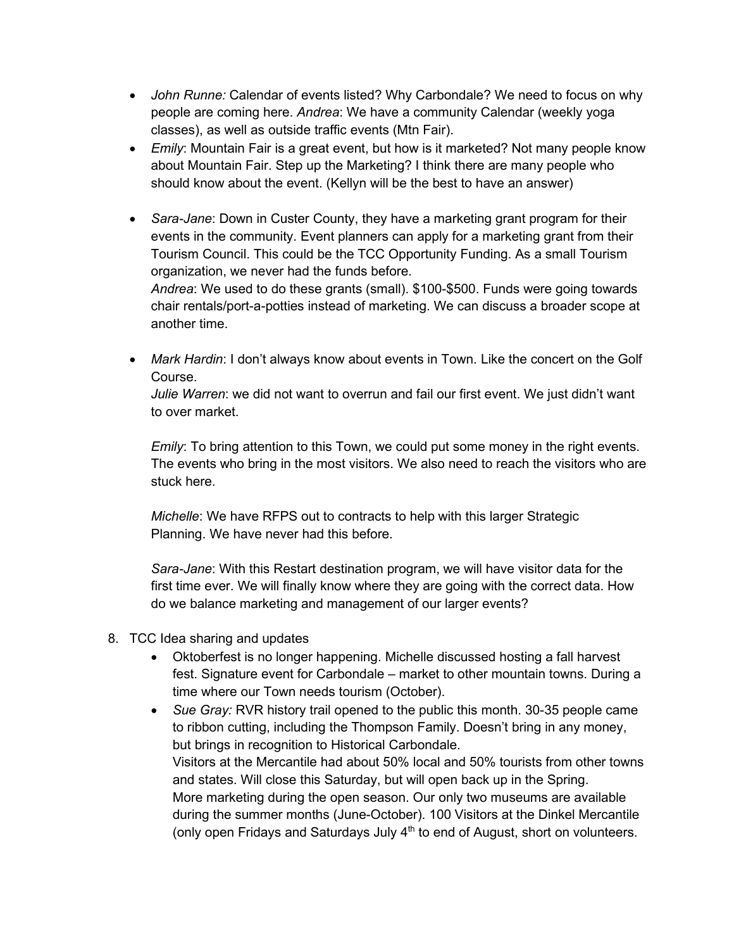- *John Runne:* Calendar of events listed? Why Carbondale? We need to focus on why people are coming here. *Andrea*: We have a community Calendar (weekly yoga classes), as well as outside traffic events (Mtn Fair).
- *Emily*: Mountain Fair is a great event, but how is it marketed? Not many people know about Mountain Fair. Step up the Marketing? I think there are many people who should know about the event. (Kellyn will be the best to have an answer)
- *Sara-Jane*: Down in Custer County, they have a marketing grant program for their events in the community. Event planners can apply for a marketing grant from their Tourism Council. This could be the TCC Opportunity Funding. As a small Tourism organization, we never had the funds before.

*Andrea*: We used to do these grants (small). \$100-\$500. Funds were going towards chair rentals/port-a-potties instead of marketing. We can discuss a broader scope at another time.

• *Mark Hardin*: I don't always know about events in Town. Like the concert on the Golf Course.

*Julie Warren*: we did not want to overrun and fail our first event. We just didn't want to over market.

*Emily*: To bring attention to this Town, we could put some money in the right events. The events who bring in the most visitors. We also need to reach the visitors who are stuck here.

*Michelle*: We have RFPS out to contracts to help with this larger Strategic Planning. We have never had this before.

*Sara-Jane*: With this Restart destination program, we will have visitor data for the first time ever. We will finally know where they are going with the correct data. How do we balance marketing and management of our larger events?

- 8. TCC Idea sharing and updates
	- Oktoberfest is no longer happening. Michelle discussed hosting a fall harvest fest. Signature event for Carbondale – market to other mountain towns. During a time where our Town needs tourism (October).
	- *Sue Gray:* RVR history trail opened to the public this month. 30-35 people came to ribbon cutting, including the Thompson Family. Doesn't bring in any money, but brings in recognition to Historical Carbondale. Visitors at the Mercantile had about 50% local and 50% tourists from other towns and states. Will close this Saturday, but will open back up in the Spring. More marketing during the open season. Our only two museums are available during the summer months (June-October). 100 Visitors at the Dinkel Mercantile (only open Fridays and Saturdays July  $4<sup>th</sup>$  to end of August, short on volunteers.